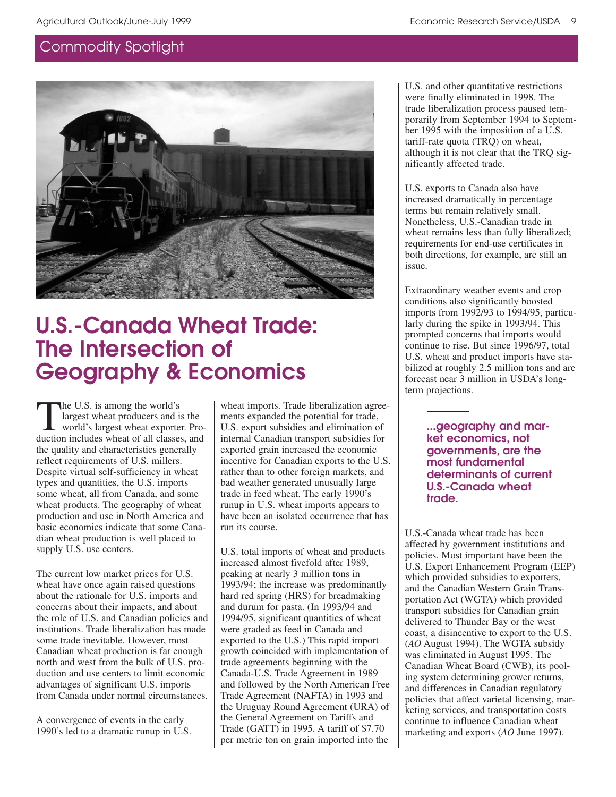

# **U.S.-Canada Wheat Trade: The Intersection of Geography & Economics**

The U.S. is among the world's<br>
largest wheat producers and is the<br>
world's largest wheat exporter. Pro-<br>
duction includes wheat of all classes and largest wheat producers and is the duction includes wheat of all classes, and the quality and characteristics generally reflect requirements of U.S. millers. Despite virtual self-sufficiency in wheat types and quantities, the U.S. imports some wheat, all from Canada, and some wheat products. The geography of wheat production and use in North America and basic economics indicate that some Canadian wheat production is well placed to supply U.S. use centers.

The current low market prices for U.S. wheat have once again raised questions about the rationale for U.S. imports and concerns about their impacts, and about the role of U.S. and Canadian policies and institutions. Trade liberalization has made some trade inevitable. However, most Canadian wheat production is far enough north and west from the bulk of U.S. production and use centers to limit economic advantages of significant U.S. imports from Canada under normal circumstances.

A convergence of events in the early 1990's led to a dramatic runup in U.S.

wheat imports. Trade liberalization agreements expanded the potential for trade, U.S. export subsidies and elimination of internal Canadian transport subsidies for exported grain increased the economic incentive for Canadian exports to the U.S. rather than to other foreign markets, and bad weather generated unusually large trade in feed wheat. The early 1990's runup in U.S. wheat imports appears to have been an isolated occurrence that has run its course.

U.S. total imports of wheat and products increased almost fivefold after 1989, peaking at nearly 3 million tons in 1993/94; the increase was predominantly hard red spring (HRS) for breadmaking and durum for pasta. (In 1993/94 and 1994/95, significant quantities of wheat were graded as feed in Canada and exported to the U.S.) This rapid import growth coincided with implementation of trade agreements beginning with the Canada-U.S. Trade Agreement in 1989 and followed by the North American Free Trade Agreement (NAFTA) in 1993 and the Uruguay Round Agreement (URA) of the General Agreement on Tariffs and Trade (GATT) in 1995. A tariff of \$7.70 per metric ton on grain imported into the

U.S. and other quantitative restrictions were finally eliminated in 1998. The trade liberalization process paused temporarily from September 1994 to September 1995 with the imposition of a U.S. tariff-rate quota (TRQ) on wheat, although it is not clear that the TRQ significantly affected trade.

U.S. exports to Canada also have increased dramatically in percentage terms but remain relatively small. Nonetheless, U.S.-Canadian trade in wheat remains less than fully liberalized; requirements for end-use certificates in both directions, for example, are still an issue.

Extraordinary weather events and crop conditions also significantly boosted imports from 1992/93 to 1994/95, particularly during the spike in 1993/94. This prompted concerns that imports would continue to rise. But since 1996/97, total U.S. wheat and product imports have stabilized at roughly 2.5 million tons and are forecast near 3 million in USDA's longterm projections.

> **...geography and market economics, not governments, are the most fundamental determinants of current U.S.-Canada wheat trade.**

U.S.-Canada wheat trade has been affected by government institutions and policies. Most important have been the U.S. Export Enhancement Program (EEP) which provided subsidies to exporters, and the Canadian Western Grain Transportation Act (WGTA) which provided transport subsidies for Canadian grain delivered to Thunder Bay or the west coast, a disincentive to export to the U.S. (*AO* August 1994). The WGTA subsidy was eliminated in August 1995. The Canadian Wheat Board (CWB), its pooling system determining grower returns, and differences in Canadian regulatory policies that affect varietal licensing, marketing services, and transportation costs continue to influence Canadian wheat marketing and exports (*AO* June 1997).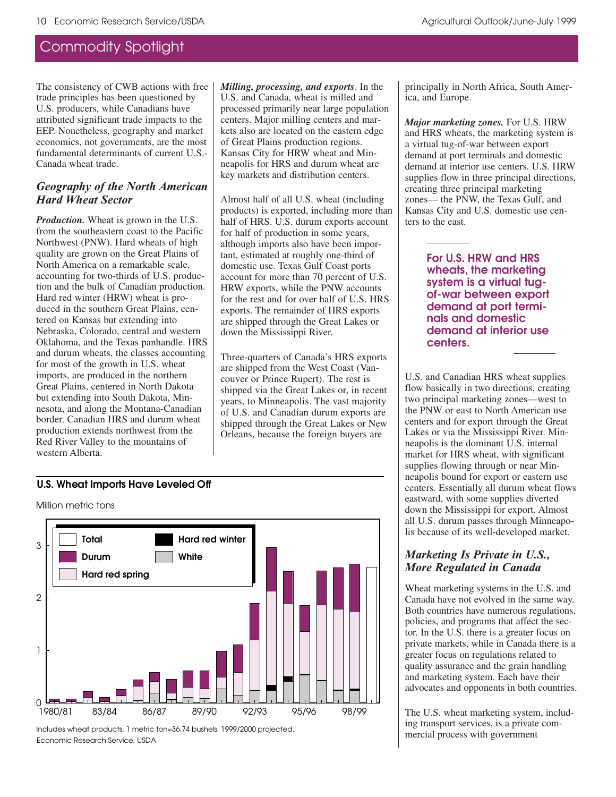The consistency of CWB actions with free trade principles has been questioned by U.S. producers, while Canadians have attributed significant trade impacts to the EEP. Nonetheless, geography and market economics, not governments, are the most fundamental determinants of current U.S.- Canada wheat trade.

### Geography of the North American *Hard Wheat Sector*

*Production.* Wheat is grown in the U.S. from the southeastern coast to the Pacific Northwest (PNW). Hard wheats of high quality are grown on the Great Plains of North America on a remarkable scale, accounting for two-thirds of U.S. production and the bulk of Canadian production. Hard red winter (HRW) wheat is produced in the southern Great Plains, centered on Kansas but extending into Nebraska, Colorado, central and western Oklahoma, and the Texas panhandle. HRS and durum wheats, the classes accounting for most of the growth in U.S. wheat imports, are produced in the northern Great Plains, centered in North Dakota but extending into South Dakota, Minnesota, and along the Montana-Canadian border. Canadian HRS and durum wheat production extends northwest from the Red River Valley to the mountains of western Alberta.

*Milling, processing, and exports*. In the U.S. and Canada, wheat is milled and processed primarily near large population centers. Major milling centers and markets also are located on the eastern edge of Great Plains production regions. Kansas City for HRW wheat and Minneapolis for HRS and durum wheat are key markets and distribution centers.

Almost half of all U.S. wheat (including products) is exported, including more than half of HRS. U.S. durum exports account for half of production in some years, although imports also have been important, estimated at roughly one-third of domestic use. Texas Gulf Coast ports account for more than 70 percent of U.S. HRW exports, while the PNW accounts for the rest and for over half of U.S. HRS exports. The remainder of HRS exports are shipped through the Great Lakes or down the Mississippi River.

Three-quarters of Canada's HRS exports are shipped from the West Coast (Vancouver or Prince Rupert). The rest is shipped via the Great Lakes or, in recent years, to Minneapolis. The vast majority of U.S. and Canadian durum exports are shipped through the Great Lakes or New Orleans, because the foreign buyers are

#### **U.S. Wheat Imports Have Leveled Off**

Million metric tons



Economic Research Service, USDA Includes wheat products. 1 metric ton=36.74 bushels. 1999/2000 projected. principally in North Africa, South America, and Europe.

*Major marketing zones.* For U.S. HRW and HRS wheats, the marketing system is a virtual tug-of-war between export demand at port terminals and domestic demand at interior use centers. U.S. HRW supplies flow in three principal directions, creating three principal marketing zones— the PNW, the Texas Gulf, and Kansas City and U.S. domestic use centers to the east.

> **For U.S. HRW and HRS wheats, the marketing system is a virtual tugof-war between export demand at port terminals and domestic demand at interior use centers.**

U.S. and Canadian HRS wheat supplies flow basically in two directions, creating two principal marketing zones—west to the PNW or east to North American use centers and for export through the Great Lakes or via the Mississippi River. Minneapolis is the dominant U.S. internal market for HRS wheat, with significant supplies flowing through or near Minneapolis bound for export or eastern use centers. Essentially all durum wheat flows eastward, with some supplies diverted down the Mississippi for export. Almost all U.S. durum passes through Minneapolis because of its well-developed market.

#### *Marketing Is Private in U.S., More Regulated in Canada*

Wheat marketing systems in the U.S. and Canada have not evolved in the same way. Both countries have numerous regulations, policies, and programs that affect the sector. In the U.S. there is a greater focus on private markets, while in Canada there is a greater focus on regulations related to quality assurance and the grain handling and marketing system. Each have their advocates and opponents in both countries.

The U.S. wheat marketing system, including transport services, is a private commercial process with government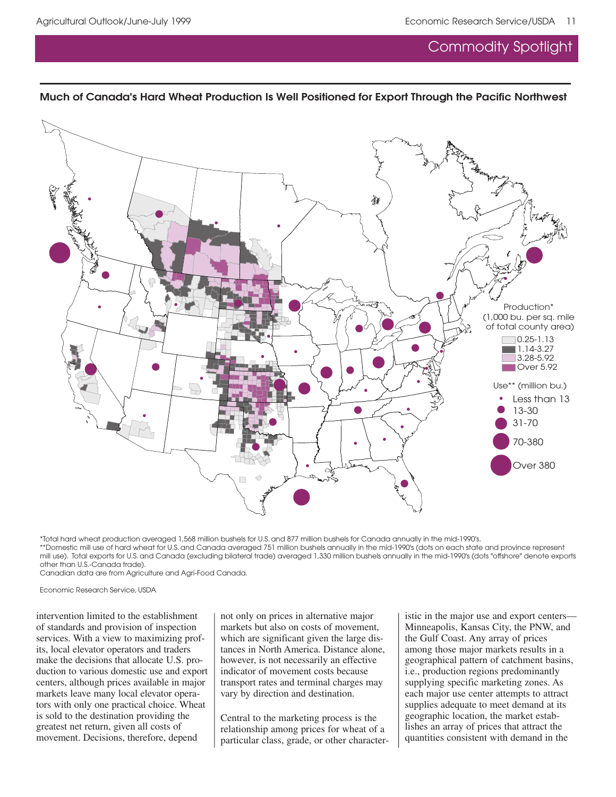### **Much of Canada's Hard Wheat Production Is Well Positioned for Export Through the Pacific Northwest**



\*Total hard wheat production averaged 1,568 million bushels for U.S. and 877 million bushels for Canada annually in the mid-1990's. \*\*Domestic mill use of hard wheat for U.S. and Canada averaged 751 million bushels annually in the mid-1990's (dots on each state and province represent mill use). Total exports for U.S. and Canada (excluding bilateral trade) averaged 1,330 million bushels annually in the mid-1990's (dots "offshore" denote exports other than U.S.-Canada trade).

Canadian data are from Agriculture and Agri-Food Canada.

Economic Research Service, USDA

intervention limited to the establishment of standards and provision of inspection services. With a view to maximizing profits, local elevator operators and traders make the decisions that allocate U.S. production to various domestic use and export centers, although prices available in major markets leave many local elevator operators with only one practical choice. Wheat is sold to the destination providing the greatest net return, given all costs of movement. Decisions, therefore, depend

not only on prices in alternative major markets but also on costs of movement, which are significant given the large distances in North America. Distance alone, however, is not necessarily an effective indicator of movement costs because transport rates and terminal charges may vary by direction and destination.

Central to the marketing process is the relationship among prices for wheat of a particular class, grade, or other characteristic in the major use and export centers— Minneapolis, Kansas City, the PNW, and the Gulf Coast. Any array of prices among those major markets results in a geographical pattern of catchment basins, i.e., production regions predominantly supplying specific marketing zones. As each major use center attempts to attract supplies adequate to meet demand at its geographic location, the market establishes an array of prices that attract the quantities consistent with demand in the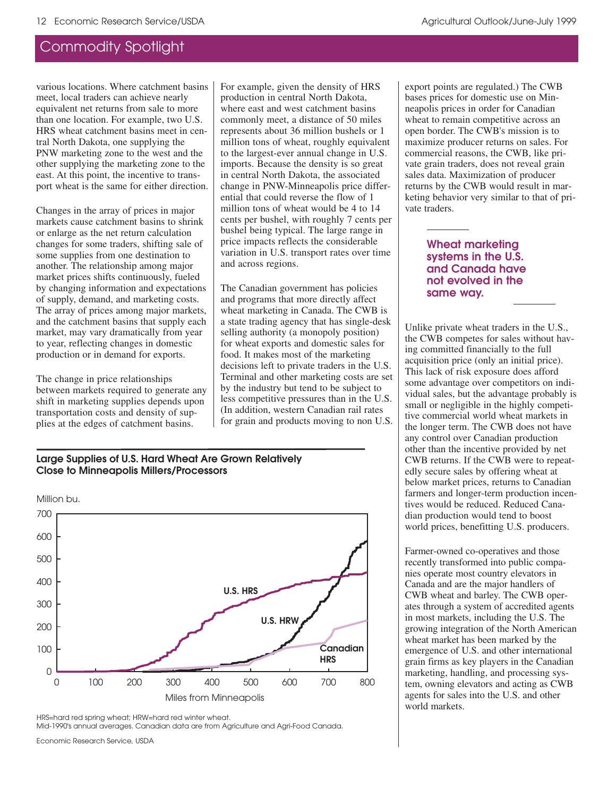various locations. Where catchment basins meet, local traders can achieve nearly equivalent net returns from sale to more than one location. For example, two U.S. HRS wheat catchment basins meet in central North Dakota, one supplying the PNW marketing zone to the west and the other supplying the marketing zone to the east. At this point, the incentive to transport wheat is the same for either direction.

Changes in the array of prices in major markets cause catchment basins to shrink or enlarge as the net return calculation changes for some traders, shifting sale of some supplies from one destination to another. The relationship among major market prices shifts continuously, fueled by changing information and expectations of supply, demand, and marketing costs. The array of prices among major markets, and the catchment basins that supply each market, may vary dramatically from year to year, reflecting changes in domestic production or in demand for exports.

The change in price relationships between markets required to generate any shift in marketing supplies depends upon transportation costs and density of supplies at the edges of catchment basins.

For example, given the density of HRS production in central North Dakota, where east and west catchment basins commonly meet, a distance of 50 miles represents about 36 million bushels or 1 million tons of wheat, roughly equivalent to the largest-ever annual change in U.S. imports. Because the density is so great in central North Dakota, the associated change in PNW-Minneapolis price differential that could reverse the flow of 1 million tons of wheat would be 4 to 14 cents per bushel, with roughly 7 cents per bushel being typical. The large range in price impacts reflects the considerable variation in U.S. transport rates over time and across regions.

The Canadian government has policies and programs that more directly affect wheat marketing in Canada. The CWB is a state trading agency that has single-desk selling authority (a monopoly position) for wheat exports and domestic sales for food. It makes most of the marketing decisions left to private traders in the U.S. Terminal and other marketing costs are set by the industry but tend to be subject to less competitive pressures than in the U.S. (In addition, western Canadian rail rates for grain and products moving to non U.S.

#### **Large Supplies of U.S. Hard Wheat Are Grown Relatively Close to Minneapolis Millers/Processors**



HRS=hard red spring wheat; HRW=hard red winter wheat.

Mid-1990's annual averages. Canadian data are from Agriculture and Agri-Food Canada.

Economic Research Service, USDA

export points are regulated.) The CWB bases prices for domestic use on Minneapolis prices in order for Canadian wheat to remain competitive across an open border. The CWB's mission is to maximize producer returns on sales. For commercial reasons, the CWB, like private grain traders, does not reveal grain sales data. Maximization of producer returns by the CWB would result in marketing behavior very similar to that of private traders.

#### **Wheat marketing systems in the U.S. and Canada have not evolved in the same way.**

Unlike private wheat traders in the U.S., the CWB competes for sales without having committed financially to the full acquisition price (only an initial price). This lack of risk exposure does afford some advantage over competitors on individual sales, but the advantage probably is small or negligible in the highly competitive commercial world wheat markets in the longer term. The CWB does not have any control over Canadian production other than the incentive provided by net CWB returns. If the CWB were to repeatedly secure sales by offering wheat at below market prices, returns to Canadian farmers and longer-term production incentives would be reduced. Reduced Canadian production would tend to boost world prices, benefitting U.S. producers.

Farmer-owned co-operatives and those recently transformed into public companies operate most country elevators in Canada and are the major handlers of CWB wheat and barley. The CWB operates through a system of accredited agents in most markets, including the U.S. The growing integration of the North American wheat market has been marked by the emergence of U.S. and other international grain firms as key players in the Canadian marketing, handling, and processing system, owning elevators and acting as CWB agents for sales into the U.S. and other world markets.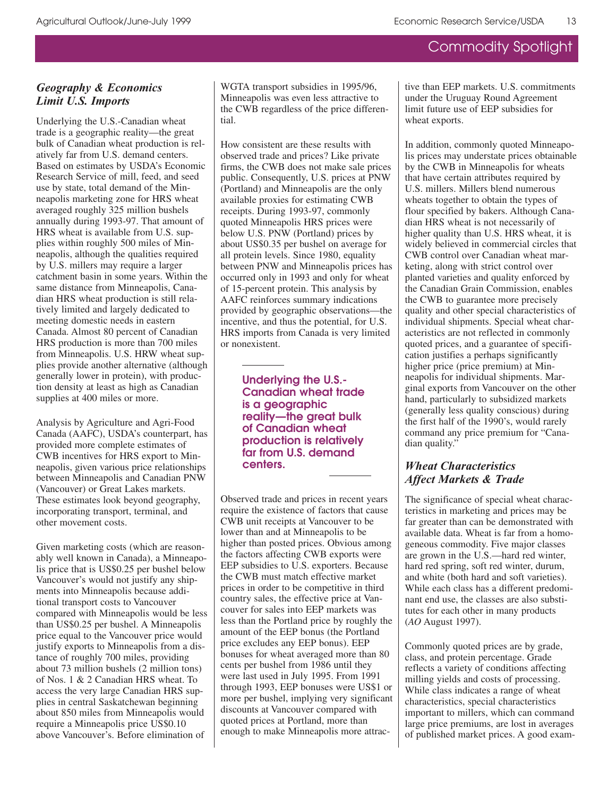### *Geography & Economics* Limit U.S. Imports

Underlying the U.S.-Canadian wheat trade is a geographic reality—the great bulk of Canadian wheat production is relatively far from U.S. demand centers. Based on estimates by USDA's Economic Research Service of mill, feed, and seed use by state, total demand of the Minneapolis marketing zone for HRS wheat averaged roughly 325 million bushels annually during 1993-97. That amount of HRS wheat is available from U.S. supplies within roughly 500 miles of Minneapolis, although the qualities required by U.S. millers may require a larger catchment basin in some years. Within the same distance from Minneapolis, Canadian HRS wheat production is still relatively limited and largely dedicated to meeting domestic needs in eastern Canada. Almost 80 percent of Canadian HRS production is more than 700 miles from Minneapolis. U.S. HRW wheat supplies provide another alternative (although generally lower in protein), with production density at least as high as Canadian supplies at 400 miles or more.

Analysis by Agriculture and Agri-Food Canada (AAFC), USDA's counterpart, has provided more complete estimates of CWB incentives for HRS export to Minneapolis, given various price relationships between Minneapolis and Canadian PNW (Vancouver) or Great Lakes markets. These estimates look beyond geography, incorporating transport, terminal, and other movement costs.

Given marketing costs (which are reasonably well known in Canada), a Minneapolis price that is US\$0.25 per bushel below Vancouver's would not justify any shipments into Minneapolis because additional transport costs to Vancouver compared with Minneapolis would be less than US\$0.25 per bushel. A Minneapolis price equal to the Vancouver price would justify exports to Minneapolis from a distance of roughly 700 miles, providing about 73 million bushels (2 million tons) of Nos. 1 & 2 Canadian HRS wheat. To access the very large Canadian HRS supplies in central Saskatchewan beginning about 850 miles from Minneapolis would require a Minneapolis price US\$0.10 above Vancouver's. Before elimination of

WGTA transport subsidies in 1995/96, Minneapolis was even less attractive to the CWB regardless of the price differential.

How consistent are these results with observed trade and prices? Like private firms, the CWB does not make sale prices public. Consequently, U.S. prices at PNW (Portland) and Minneapolis are the only available proxies for estimating CWB receipts. During 1993-97, commonly quoted Minneapolis HRS prices were below U.S. PNW (Portland) prices by about US\$0.35 per bushel on average for all protein levels. Since 1980, equality between PNW and Minneapolis prices has occurred only in 1993 and only for wheat of 15-percent protein. This analysis by AAFC reinforces summary indications provided by geographic observations—the incentive, and thus the potential, for U.S. HRS imports from Canada is very limited or nonexistent.

> **Underlying the U.S.- Canadian wheat trade is a geographic reality—the great bulk of Canadian wheat production is relatively far from U.S. demand centers.**

Observed trade and prices in recent years require the existence of factors that cause CWB unit receipts at Vancouver to be lower than and at Minneapolis to be higher than posted prices. Obvious among the factors affecting CWB exports were EEP subsidies to U.S. exporters. Because the CWB must match effective market prices in order to be competitive in third country sales, the effective price at Vancouver for sales into EEP markets was less than the Portland price by roughly the amount of the EEP bonus (the Portland price excludes any EEP bonus). EEP bonuses for wheat averaged more than 80 cents per bushel from 1986 until they were last used in July 1995. From 1991 through 1993, EEP bonuses were US\$1 or more per bushel, implying very significant discounts at Vancouver compared with quoted prices at Portland, more than enough to make Minneapolis more attractive than EEP markets. U.S. commitments under the Uruguay Round Agreement limit future use of EEP subsidies for wheat exports.

In addition, commonly quoted Minneapolis prices may understate prices obtainable by the CWB in Minneapolis for wheats that have certain attributes required by U.S. millers. Millers blend numerous wheats together to obtain the types of flour specified by bakers. Although Canadian HRS wheat is not necessarily of higher quality than U.S. HRS wheat, it is widely believed in commercial circles that CWB control over Canadian wheat marketing, along with strict control over planted varieties and quality enforced by the Canadian Grain Commission, enables the CWB to guarantee more precisely quality and other special characteristics of individual shipments. Special wheat characteristics are not reflected in commonly quoted prices, and a guarantee of specification justifies a perhaps significantly higher price (price premium) at Minneapolis for individual shipments. Marginal exports from Vancouver on the other hand, particularly to subsidized markets (generally less quality conscious) during the first half of the 1990's, would rarely command any price premium for "Canadian quality."

#### *<u>Mheat Characteristics</u>* Affect Markets & Trade

The significance of special wheat characteristics in marketing and prices may be far greater than can be demonstrated with available data. Wheat is far from a homogeneous commodity. Five major classes are grown in the U.S.—hard red winter, hard red spring, soft red winter, durum, and white (both hard and soft varieties). While each class has a different predominant end use, the classes are also substitutes for each other in many products (*AO* August 1997).

Commonly quoted prices are by grade, class, and protein percentage. Grade reflects a variety of conditions affecting milling yields and costs of processing. While class indicates a range of wheat characteristics, special characteristics important to millers, which can command large price premiums, are lost in averages of published market prices. A good exam-